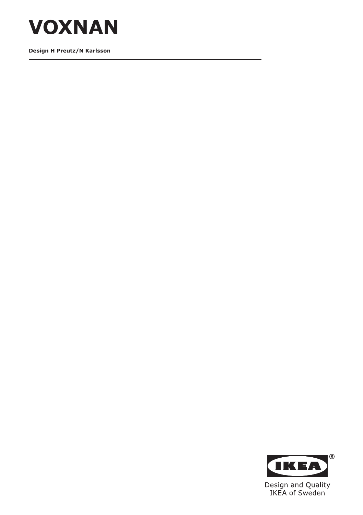

**Design H Preutz/N Karlsson**

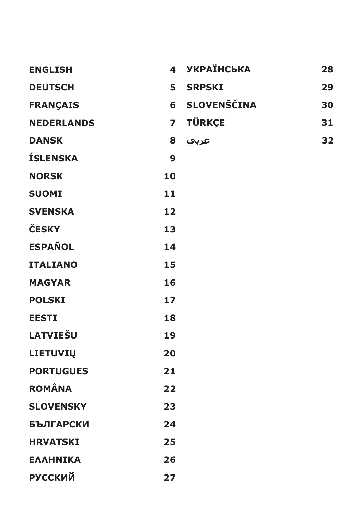| <b>ENGLISH</b>    |                | 4 УКРАЇНСЬКА       | 28 |
|-------------------|----------------|--------------------|----|
| <b>DEUTSCH</b>    | 5.             | <b>SRPSKI</b>      | 29 |
| <b>FRANÇAIS</b>   | 6              | <b>SLOVENŠČINA</b> | 30 |
| <b>NEDERLANDS</b> | $\overline{7}$ | <b>TÜRKÇE</b>      | 31 |
| <b>DANSK</b>      | 8              | عربي               | 32 |
| <b>ÍSLENSKA</b>   | 9              |                    |    |
| <b>NORSK</b>      | 10             |                    |    |
| <b>SUOMI</b>      | 11             |                    |    |
| <b>SVENSKA</b>    | 12             |                    |    |
| ČESKY             | 13             |                    |    |
| <b>ESPAÑOL</b>    | 14             |                    |    |
| <b>ITALIANO</b>   | 15             |                    |    |
| <b>MAGYAR</b>     | 16             |                    |    |
| <b>POLSKI</b>     | 17             |                    |    |
| <b>EESTI</b>      | 18             |                    |    |
| <b>LATVIEŠU</b>   | 19             |                    |    |
| <b>LIETUVIŲ</b>   | 20             |                    |    |
| <b>PORTUGUES</b>  | 21             |                    |    |
| <b>ROMÂNA</b>     | 22             |                    |    |
| <b>SLOVENSKY</b>  | 23             |                    |    |
| <b>БЪЛГАРСКИ</b>  | 24             |                    |    |
| <b>HRVATSKI</b>   | 25             |                    |    |
| ΕΛΛΗΝΙΚΑ          | 26             |                    |    |
| <b>РУССКИЙ</b>    | 27             |                    |    |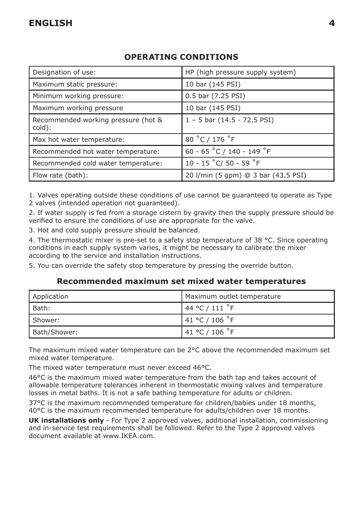## Designation of use:  $\vert$  HP (high pressure supply system) Maximum static pressure: 10 bar (145 PSI) Minimum working pressure: 0.5 bar (7.25 PSI) Maximum working pressure 10 bar (145 PSI) Recommended working pressure (hot & cold): 1 – 5 bar (14.5 - 72.5 PSI) Max hot water temperature:  $\begin{array}{c|c} | & 80 \text{ °C} / 176 \text{ °F} \end{array}$ Recommended hot water temperature:  $\begin{array}{c|c} | & 60 - 65 \degree \text{C} / 140 - 149 \degree \text{F} \end{array}$ Recommended cold water temperature: | 10 - 15 °C/ 50 - 59 °F Flow rate (bath): 20 l/min (5 gpm) @ 3 bar (43.5 PSI)

## **OPERATING CONDITIONS**

1. Valves operating outside these conditions of use cannot be guaranteed to operate as Type 2 valves (intended operation not guaranteed).

2. If water supply is fed from a storage cistern by gravity then the supply pressure should be verified to ensure the conditions of use are appropriate for the valve.

3. Hot and cold supply pressure should be balanced.

4. The thermostatic mixer is pre-set to a safety stop temperature of 38 °C. Since operating conditions in each supply system varies, it might be necessary to calibrate the mixer according to the service and installation instructions.

5. You can override the safety stop temperature by pressing the override button.

#### **Recommended maximum set mixed water temperatures**

| Application  | Maximum outlet temperature |
|--------------|----------------------------|
| l Bath:      | 144 °C / 111 °F            |
| l Shower:    | 41 °C / 106 °F             |
| Bath/Shower: | 141 °C / 106 °F            |

The maximum mixed water temperature can be 2°C above the recommended maximum set mixed water temperature.

The mixed water temperature must never exceed 46°C.

46°C is the maximum mixed water temperature from the bath tap and takes account of allowable temperature tolerances inherent in thermostatic mixing valves and temperature losses in metal baths. It is not a safe bathing temperature for adults or children.

37°C is the maximum recommended temperature for children/babies under 18 months, 40°C is the maximum recommended temperature for adults/children over 18 months.

**UK installations only** - For Type 2 approved valves, additional installation, commissioning and in-service test requirements shall be followed. Refer to the Type 2 approved valves document available at www.IKEA.com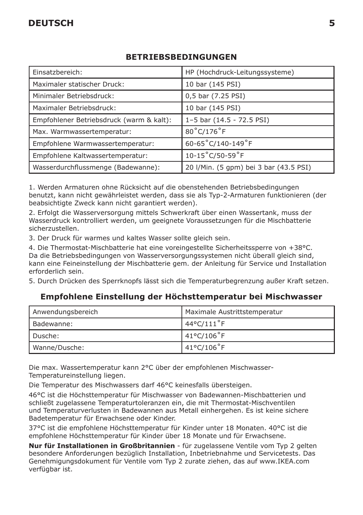# **DEUTSCH 5**

### **BETRIEBSBEDINGUNGEN**

| Einsatzbereich:                          | HP (Hochdruck-Leitungssysteme)         |
|------------------------------------------|----------------------------------------|
| Maximaler statischer Druck:              | 10 bar (145 PSI)                       |
| Minimaler Betriebsdruck:                 | 0,5 bar (7.25 PSI)                     |
| Maximaler Betriebsdruck:                 | 10 bar (145 PSI)                       |
| Empfohlener Betriebsdruck (warm & kalt): | 1-5 bar (14.5 - 72.5 PSI)              |
| Max. Warmwassertemperatur:               | 80°C/176°F                             |
| Empfohlene Warmwassertemperatur:         | 60-65°C/140-149°F                      |
| Empfohlene Kaltwassertemperatur:         | $10-15^{\circ}$ C/50-59 $^{\circ}$ F   |
| Wasserdurchflussmenge (Badewanne):       | 20 I/Min. (5 gpm) bei 3 bar (43.5 PSI) |

1. Werden Armaturen ohne Rücksicht auf die obenstehenden Betriebsbedingungen benutzt, kann nicht gewährleistet werden, dass sie als Typ-2-Armaturen funktionieren (der beabsichtigte Zweck kann nicht garantiert werden).

2. Erfolgt die Wasserversorgung mittels Schwerkraft über einen Wassertank, muss der Wasserdruck kontrolliert werden, um geeignete Voraussetzungen für die Mischbatterie sicherzustellen.

3. Der Druck für warmes und kaltes Wasser sollte gleich sein.

4. Die Thermostat-Mischbatterie hat eine voreingestellte Sicherheitssperre von +38°C. Da die Betriebsbedingungen von Wasserversorgungssystemen nicht überall gleich sind, kann eine Feineinstellung der Mischbatterie gem. der Anleitung für Service und Installation erforderlich sein.

5. Durch Drücken des Sperrknopfs lässt sich die Temperaturbegrenzung außer Kraft setzen.

#### **Empfohlene Einstellung der Höchsttemperatur bei Mischwasser**

| Anwendungsbereich | <b>Maximale Austrittstemperatur</b> |
|-------------------|-------------------------------------|
| Badewanne:        | 44°C/111°F                          |
| Dusche:           | 41°C/106°F                          |
| Wanne/Dusche:     | 41°C/106°F                          |

Die max. Wassertemperatur kann 2°C über der empfohlenen Mischwasser-Temperatureinstellung liegen.

Die Temperatur des Mischwassers darf 46°C keinesfalls übersteigen.

46°C ist die Höchsttemperatur für Mischwasser von Badewannen-Mischbatterien und schließt zugelassene Temperaturtoleranzen ein, die mit Thermostat-Mischventilen und Temperaturverlusten in Badewannen aus Metall einhergehen. Es ist keine sichere Badetemperatur für Erwachsene oder Kinder.

37°C ist die empfohlene Höchsttemperatur für Kinder unter 18 Monaten. 40°C ist die empfohlene Höchsttemperatur für Kinder über 18 Monate und für Erwachsene.

**Nur für Installationen in Großbritannien** - für zugelassene Ventile vom Typ 2 gelten besondere Anforderungen bezüglich Installation, Inbetriebnahme und Servicetests. Das Genehmigungsdokument für Ventile vom Typ 2 zurate ziehen, das auf www.IKEA.com verfügbar ist.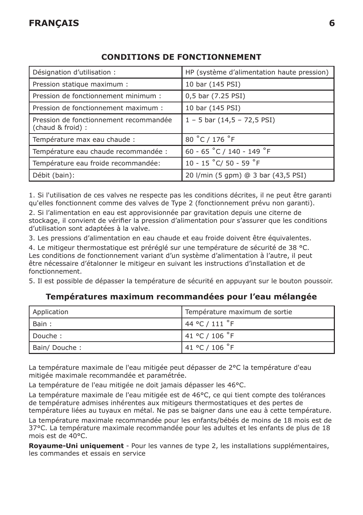| Désignation d'utilisation :                                | HP (système d'alimentation haute pression) |
|------------------------------------------------------------|--------------------------------------------|
| Pression statique maximum :                                | 10 bar (145 PSI)                           |
| Pression de fonctionnement minimum :                       | 0,5 bar (7.25 PSI)                         |
| Pression de fonctionnement maximum :                       | 10 bar (145 PSI)                           |
| Pression de fonctionnement recommandée<br>(chaud & froid): | $1 - 5$ bar $(14, 5 - 72, 5$ PSI)          |
| Température max eau chaude :                               | 80 °C / 176 °F                             |
| Température eau chaude recommandée :                       | 60 - 65 °C / 140 - 149 °F                  |
| Température eau froide recommandée:                        | 10 - 15 °C/ 50 - 59 °F                     |
| Débit (bain):                                              | 20 l/min (5 gpm) @ 3 bar (43,5 PSI)        |

## **CONDITIONS DE FONCTIONNEMENT**

1. Si l'utilisation de ces valves ne respecte pas les conditions décrites, il ne peut être garanti qu'elles fonctionnent comme des valves de Type 2 (fonctionnement prévu non garanti).

2. Si l'alimentation en eau est approvisionnée par gravitation depuis une citerne de stockage, il convient de vérifier la pression d'alimentation pour s'assurer que les conditions d'utilisation sont adaptées à la valve.

3. Les pressions d'alimentation en eau chaude et eau froide doivent être équivalentes.

4. Le mitigeur thermostatique est préréglé sur une température de sécurité de 38 °C. Les conditions de fonctionnement variant d'un système d'alimentation à l'autre, il peut être nécessaire d'étalonner le mitigeur en suivant les instructions d'installation et de fonctionnement.

5. Il est possible de dépasser la température de sécurité en appuyant sur le bouton poussoir.

#### **Températures maximum recommandées pour l'eau mélangée**

| Application  | Température maximum de sortie |
|--------------|-------------------------------|
| Bain:        | 44 °C / 111 $\degree$ F       |
| Douche:      | 141 °C / 106 °F               |
| Bain/Douche: | 141 °C / 106 °F               |

La température maximale de l'eau mitigée peut dépasser de 2°C la température d'eau mitigée maximale recommandée et paramétrée.

La température de l'eau mitigée ne doit jamais dépasser les 46°C.

La température maximale de l'eau mitigée est de 46°C, ce qui tient compte des tolérances de température admises inhérentes aux mitigeurs thermostatiques et des pertes de température liées au tuyaux en métal. Ne pas se baigner dans une eau à cette température.

La température maximale recommandée pour les enfants/bébés de moins de 18 mois est de 37°C. La température maximale recommandée pour les adultes et les enfants de plus de 18 mois est de 40°C.

**Royaume-Uni uniquement** - Pour les vannes de type 2, les installations supplémentaires, les commandes et essais en service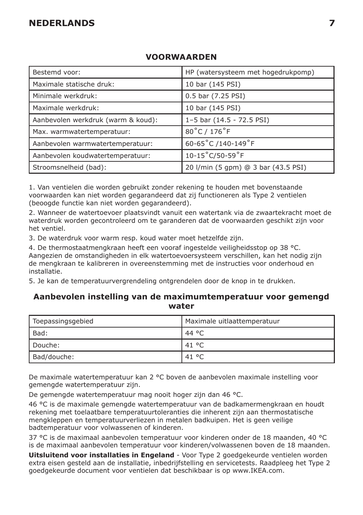### **NEDERLANDS 7**

| Bestemd voor:                      | HP (watersysteem met hogedrukpomp)   |
|------------------------------------|--------------------------------------|
| Maximale statische druk:           | 10 bar (145 PSI)                     |
| Minimale werkdruk:                 | 0.5 bar (7.25 PSI)                   |
| Maximale werkdruk:                 | 10 bar (145 PSI)                     |
| Aanbevolen werkdruk (warm & koud): | 1-5 bar (14.5 - 72.5 PSI)            |
| Max. warmwatertemperatuur:         | 80°C / 176°F                         |
| Aanbevolen warmwatertemperatuur:   | 60-65°C /140-149°F                   |
| Aanbevolen koudwatertemperatuur:   | $10-15^{\circ}$ C/50-59 $^{\circ}$ F |
| Stroomsnelheid (bad):              | 20 l/min (5 gpm) @ 3 bar (43.5 PSI)  |

#### **VOORWAARDEN**

1. Van ventielen die worden gebruikt zonder rekening te houden met bovenstaande voorwaarden kan niet worden gegarandeerd dat zij functioneren als Type 2 ventielen (beoogde functie kan niet worden gegarandeerd).

2. Wanneer de watertoevoer plaatsvindt vanuit een watertank via de zwaartekracht moet de waterdruk worden gecontroleerd om te garanderen dat de voorwaarden geschikt zijn voor het ventiel.

3. De waterdruk voor warm resp. koud water moet hetzelfde zijn.

4. De thermostaatmengkraan heeft een vooraf ingestelde veiligheidsstop op 38 °C. Aangezien de omstandigheden in elk watertoevoersysteem verschillen, kan het nodig zijn de mengkraan te kalibreren in overeenstemming met de instructies voor onderhoud en installatie.

5. Je kan de temperatuurvergrendeling ontgrendelen door de knop in te drukken.

#### **Aanbevolen instelling van de maximumtemperatuur voor gemengd water**

| Toepassingsgebied | Maximale uitlaattemperatuur |
|-------------------|-----------------------------|
| Bad:              | 44 °C                       |
| Douche:           | . 41 °C                     |
| Bad/douche:       | . 41 °C                     |

De maximale watertemperatuur kan 2 °C boven de aanbevolen maximale instelling voor gemengde watertemperatuur zijn.

De gemengde watertemperatuur mag nooit hoger zijn dan 46 °C.

46 °C is de maximale gemengde watertemperatuur van de badkamermengkraan en houdt rekening met toelaatbare temperatuurtoleranties die inherent zijn aan thermostatische mengkleppen en temperatuurverliezen in metalen badkuipen. Het is geen veilige badtemperatuur voor volwassenen of kinderen.

37 °C is de maximaal aanbevolen temperatuur voor kinderen onder de 18 maanden, 40 °C is de maximaal aanbevolen temperatuur voor kinderen/volwassenen boven de 18 maanden.

**Uitsluitend voor installaties in Engeland** - Voor Type 2 goedgekeurde ventielen worden extra eisen gesteld aan de installatie, inbedrijfstelling en servicetests. Raadpleeg het Type 2 goedgekeurde document voor ventielen dat beschikbaar is op www.IKEA.com.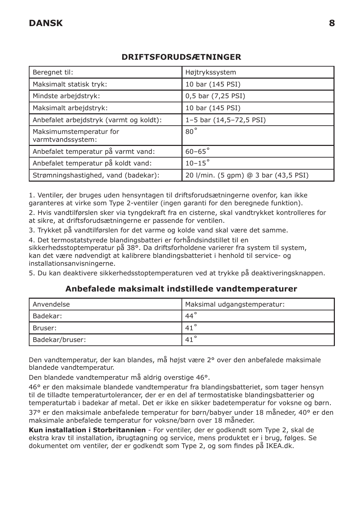### **DRIFTSFORUDSÆTNINGER**

| Beregnet til:                                | Højtrykssystem                       |
|----------------------------------------------|--------------------------------------|
| Maksimalt statisk tryk:                      | 10 bar (145 PSI)                     |
| Mindste arbeidstryk:                         | 0,5 bar (7,25 PSI)                   |
| Maksimalt arbejdstryk:                       | 10 bar (145 PSI)                     |
| Anbefalet arbejdstryk (varmt og koldt):      | 1-5 bar (14,5-72,5 PSI)              |
| Maksimumstemperatur for<br>varmtvandssystem: | $80^{\circ}$                         |
| Anbefalet temperatur på varmt vand:          | $60 - 65^{\circ}$                    |
| Anbefalet temperatur på koldt vand:          | $10-15^\circ$                        |
| Strømningshastighed, vand (badekar):         | 20 l/min. (5 gpm) @ 3 bar (43,5 PSI) |

1. Ventiler, der bruges uden hensyntagen til driftsforudsætningerne ovenfor, kan ikke garanteres at virke som Type 2-ventiler (ingen garanti for den beregnede funktion).

2. Hvis vandtilførslen sker via tyngdekraft fra en cisterne, skal vandtrykket kontrolleres for at sikre, at driftsforudsætningerne er passende for ventilen.

3. Trykket på vandtilførslen for det varme og kolde vand skal være det samme.

4. Det termostatstyrede blandingsbatteri er forhåndsindstillet til en sikkerhedsstoptemperatur på 38°. Da driftsforholdene varierer fra system til system, kan det være nødvendigt at kalibrere blandingsbatteriet i henhold til service- og installationsanvisningerne.

5. Du kan deaktivere sikkerhedsstoptemperaturen ved at trykke på deaktiveringsknappen.

#### **Anbefalede maksimalt indstillede vandtemperaturer**

| Anvendelse      | Maksimal udgangstemperatur: |
|-----------------|-----------------------------|
| l Badekar:      | $.44^{\circ}$               |
| l Bruser:       | $.41^{\circ}$               |
| Badekar/bruser: | $.41^{\circ}$               |

Den vandtemperatur, der kan blandes, må højst være 2° over den anbefalede maksimale blandede vandtemperatur.

Den blandede vandtemperatur må aldrig overstige 46°.

46° er den maksimale blandede vandtemperatur fra blandingsbatteriet, som tager hensyn til de tilladte temperaturtolerancer, der er en del af termostatiske blandingsbatterier og temperaturtab i badekar af metal. Det er ikke en sikker badetemperatur for voksne og børn. 37° er den maksimale anbefalede temperatur for børn/babyer under 18 måneder, 40° er den maksimale anbefalede temperatur for voksne/børn over 18 måneder.

**Kun installation i Storbritannien** - For ventiler, der er godkendt som Type 2, skal de ekstra krav til installation, ibrugtagning og service, mens produktet er i brug, følges. Se dokumentet om ventiler, der er godkendt som Type 2, og som findes på IKEA.dk.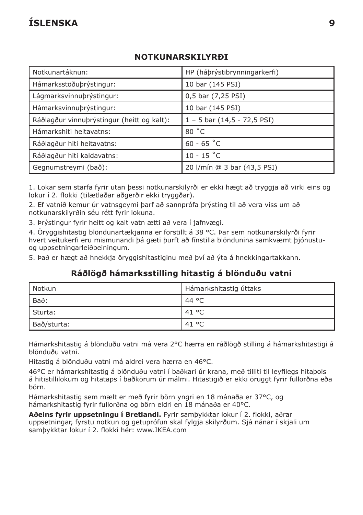# **ÍSLENSKA 9**

### **NOTKUNARSKILYRÐI**

| Notkunartáknun:                            | HP (hábrýstibrynningarkerfi)      |
|--------------------------------------------|-----------------------------------|
| Hámarksstöðuþrýstingur:                    | 10 bar (145 PSI)                  |
| Lágmarksvinnuþrýstingur:                   | 0,5 bar (7,25 PSI)                |
| Hámarksvinnubrýstingur:                    | 10 bar (145 PSI)                  |
| Ráðlagður vinnuþrýstingur (heitt og kalt): | $1 - 5$ bar $(14, 5 - 72, 5$ PSI) |
| Hámarkshiti heitavatns:                    | 80 °C                             |
| Ráðlagður hiti heitavatns:                 | $60 - 65 °C$                      |
| Ráðlagður hiti kaldavatns:                 | $10 - 15 °C$                      |
| Gegnumstreymi (bað):                       | 20 I/mín @ 3 bar (43,5 PSI)       |

1. Lokar sem starfa fyrir utan þessi notkunarskilyrði er ekki hægt að tryggja að virki eins og lokur í 2. flokki (tilætlaðar aðgerðir ekki tryggðar).

2. Ef vatnið kemur úr vatnsgeymi þarf að sannprófa þrýsting til að vera viss um að notkunarskilyrðin séu rétt fyrir lokuna.

3. Þrýstingur fyrir heitt og kalt vatn ætti að vera í jafnvægi.

4. Öryggishitastig blöndunartækjanna er forstillt á 38 °C. Þar sem notkunarskilyrði fyrir hvert veitukerfi eru mismunandi þá gæti þurft að fínstilla blöndunina samkvæmt þjónustuog uppsetningarleiðbeiningum.

5. Það er hægt að hnekkja öryggishitastiginu með því að ýta á hnekkingartakkann.

#### **Ráðlögð hámarksstilling hitastig á blönduðu vatni**

| l Notkun          | , Hámarkshitastig úttaks |
|-------------------|--------------------------|
| <sup>I</sup> Bað: | .44 °C                   |
| Sturta:           | 41 °C                    |
| Bað/sturta:       | 41 °C                    |

Hámarkshitastig á blönduðu vatni má vera 2°C hærra en ráðlögð stilling á hámarkshitastigi á blönduðu vatni.

Hitastig á blönduðu vatni má aldrei vera hærra en 46°C.

46°C er hámarkshitastig á blönduðu vatni í baðkari úr krana, með tilliti til leyfilegs hitaþols á hitistillilokum og hitataps í baðkörum úr málmi. Hitastigið er ekki öruggt fyrir fullorðna eða börn.

Hámarkshitastig sem mælt er með fyrir börn yngri en 18 mánaða er 37°C, og hámarkshitastig fyrir fullorðna og börn eldri en 18 mánaða er 40°C.

**Aðeins fyrir uppsetningu í Bretlandi.** Fyrir samþykktar lokur í 2. flokki, aðrar uppsetningar, fyrstu notkun og getuprófun skal fylgja skilyrðum. Sjá nánar í skjali um samþykktar lokur í 2. flokki hér: www.IKEA.com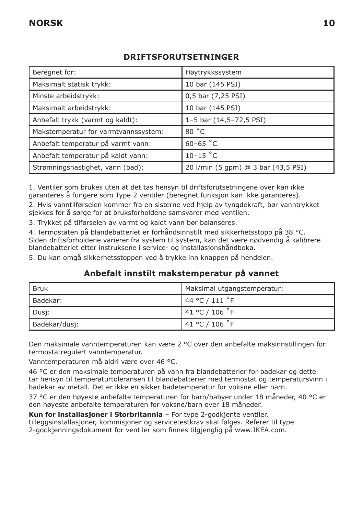### **DRIFTSFORUTSETNINGER**

| Beregnet for:                        | Høytrykkssystem                     |
|--------------------------------------|-------------------------------------|
| Maksimalt statisk trykk:             | 10 bar (145 PSI)                    |
| Minste arbeidstrykk:                 | 0,5 bar (7,25 PSI)                  |
| Maksimalt arbeidstrykk:              | 10 bar (145 PSI)                    |
| Anbefalt trykk (varmt og kaldt):     | 1-5 bar (14,5-72,5 PSI)             |
| Makstemperatur for varmtvannssystem: | 80 °C                               |
| Anbefalt temperatur på varmt vann:   | $60 - 65$ °C                        |
| Anbefalt temperatur på kaldt vann:   | $10-15$ °C                          |
| Strømningshastighet, vann (bad):     | 20 l/min (5 gpm) @ 3 bar (43,5 PSI) |

1. Ventiler som brukes uten at det tas hensyn til driftsforutsetningene over kan ikke garanteres å fungere som Type 2 ventiler (beregnet funksjon kan ikke garanteres).

2. Hvis vanntilførselen kommer fra en sisterne ved hjelp av tyngdekraft, bør vanntrykket sjekkes for å sørge for at bruksforholdene samsvarer med ventilen.

3. Trykket på tilførselen av varmt og kaldt vann bør balanseres.

4. Termostaten på blandebatteriet er forhåndsinnstilt med sikkerhetsstopp på 38 °C. Siden driftsforholdene varierer fra system til system, kan det være nødvendig å kalibrere blandebatteriet etter instruksene i service- og installasjonshåndboka.

5. Du kan omgå sikkerhetsstoppen ved å trykke inn knappen på hendelen.

#### **Anbefalt innstilt makstemperatur på vannet**

| l Bruk        | Maksimal utgangstemperatur: |
|---------------|-----------------------------|
| I Badekar:    | 144 °C / 111 °F             |
| Dusj:         | 141 °C / 106 °F             |
| Badekar/dusi: | 41 °C / 106 $\degree$ F     |

Den maksimale vanntemperaturen kan være 2 °C over den anbefalte maksinnstillingen for termostatregulert vanntemperatur.

Vanntemperaturen må aldri være over 46 °C.

46 °C er den maksimale temperaturen på vann fra blandebatterier for badekar og dette tar hensyn til temperaturtoleransen til blandebatterier med termostat og temperatursvinn i badekar av metall. Det er ikke en sikker badetemperatur for voksne eller barn.

37 °C er den høyeste anbefalte temperaturen for barn/babyer under 18 måneder, 40 °C er den høyeste anbefalte temperaturen for voksne/barn over 18 måneder.

**Kun for installasjoner i Storbritannia** – For type 2-godkjente ventiler, tilleggsinstallasjoner, kommisjoner og servicetestkrav skal følges. Referer til type 2-godkjenningsdokument for ventiler som finnes tilgjenglig på www.IKEA.com.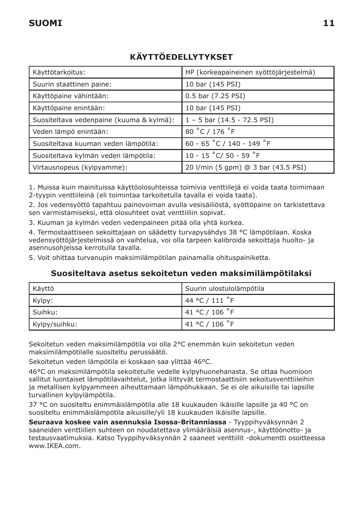# **KÄYTTÖEDELLYTYKSET**

| Käyttötarkoitus:                         | HP (korkeapaineinen syöttöjärjestelmä) |
|------------------------------------------|----------------------------------------|
| Suurin staattinen paine:                 | 10 bar (145 PSI)                       |
| Käyttöpaine vähintään:                   | 0.5 bar (7.25 PSI)                     |
| Käyttöpaine enintään:                    | 10 bar (145 PSI)                       |
| Suositeltava vedenpaine (kuuma & kylmä): | $1 - 5$ bar (14.5 - 72.5 PSI)          |
| Veden lämpö enintään:                    | 80 °C / 176 °F                         |
| Suositeltava kuuman veden lämpötila:     | 60 - 65 °C / 140 - 149 °F              |
| Suositeltava kylmän veden lämpötila:     | 10 - 15 °C/ 50 - 59 °F                 |
| Virtausnopeus (kylpyamme):               | 20 l/min (5 gpm) @ 3 bar (43.5 PSI)    |

1. Muissa kuin mainituissa käyttöolosuhteissa toimivia venttiilejä ei voida taata toimimaan 2-tyypin venttiileinä (eli toimintaa tarkoitetulla tavalla ei voida taata).

2. Jos vedensyöttö tapahtuu painovoiman avulla vesisäiliöstä, syöttöpaine on tarkistettava sen varmistamiseksi, että olosuhteet ovat venttiiliin sopivat.

3. Kuuman ja kylmän veden vedenpaineen pitää olla yhtä korkea.

4. Termostaattiseen sekoittajaan on säädetty turvapysähdys 38 °C lämpötilaan. Koska vedensyöttöjärjestelmissä on vaihtelua, voi olla tarpeen kalibroida sekoittaja huolto- ja asennusohjeissa kerrotulla tavalla.

5. Voit ohittaa turvanupin maksimilämpötilan painamalla ohituspainiketta.

#### **Suositeltava asetus sekoitetun veden maksimilämpötilaksi**

| Käyttö        | Suurin ulostulolämpötila |
|---------------|--------------------------|
| Kylpy:        | 44 °C / 111 $\degree$ F  |
| I Suihku:     | 141 °C / 106 °F          |
| Kylpy/suihku: | 41 °C / 106 $\degree$ F  |

Sekoitetun veden maksimilämpötila voi olla 2°C enemmän kuin sekoitetun veden maksimilämpötilalle suositeltu perussäätö.

Sekoitetun veden lämpötila ei koskaan saa ylittää 46°C.

46°C on maksimilämpötila sekoitetulle vedelle kylpyhuonehanasta. Se ottaa huomioon sallitut luontaiset lämpötilavaihtelut, jotka liittyvät termostaattisiin sekoitusventtiileihin ja metallisen kylpyammeen aiheuttamaan lämpöhukkaan. Se ei ole aikuisille tai lapsille turvallinen kylpylämpötila.

37 °C on suositeltu enimmäislämpötila alle 18 kuukauden ikäisille lapsille ja 40 °C on suositeltu enimmäislämpötila aikuisille/yli 18 kuukauden ikäisille lapsille.

**Seuraava koskee vain asennuksia Isossa-Britanniassa** - Tyyppihyväksynnän 2 saaneiden venttiilien suhteen on noudatettava ylimääräisiä asennus-, käyttöönotto- ja testausvaatimuksia. Katso Tyyppihyväksynnän 2 saaneet venttiilit -dokumentti osoitteessa www.IKEA.com.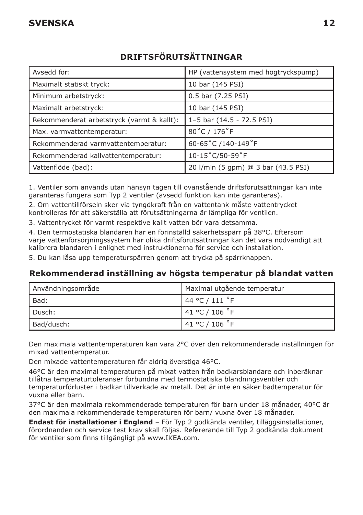# **DRIFTSFÖRUTSÄTTNINGAR**

| Avsedd för:                                | HP (vattensystem med högtryckspump) |
|--------------------------------------------|-------------------------------------|
| Maximalt statiskt tryck:                   | 10 bar (145 PSI)                    |
| Minimum arbetstryck:                       | 0.5 bar (7.25 PSI)                  |
| Maximalt arbetstryck:                      | 10 bar (145 PSI)                    |
| Rekommenderat arbetstryck (varmt & kallt): | 1-5 bar (14.5 - 72.5 PSI)           |
| Max. varmvattentemperatur:                 | 80°C / 176°F                        |
| Rekommenderad varmvattentemperatur:        | 60-65°C /140-149°F                  |
| Rekommenderad kallvattentemperatur:        | 10-15°C/50-59°F                     |
| Vattenflöde (bad):                         | 20 l/min (5 gpm) @ 3 bar (43.5 PSI) |

1. Ventiler som används utan hänsyn tagen till ovanstående driftsförutsättningar kan inte garanteras fungera som Typ 2 ventiler (avsedd funktion kan inte garanteras).

2. Om vattentillförseln sker via tyngdkraft från en vattentank måste vattentrycket kontrolleras för att säkerställa att förutsättningarna är lämpliga för ventilen.

3. Vattentrycket för varmt respektive kallt vatten bör vara detsamma.

4. Den termostatiska blandaren har en förinställd säkerhetsspärr på 38°C. Eftersom varje vattenförsörjningssystem har olika driftsförutsättningar kan det vara nödvändigt att kalibrera blandaren i enlighet med instruktionerna för service och installation.

5. Du kan låsa upp temperaturspärren genom att trycka på spärrknappen.

#### **Rekommenderad inställning av högsta temperatur på blandat vatten**

| Användningsområde | Maximal utgående temperatur |
|-------------------|-----------------------------|
| l Bad:            | 144 °C / 111 °F             |
| Dusch:            | 141 °C / 106 °F             |
| Bad/dusch:        | 141 °C / 106 °F             |

Den maximala vattentemperaturen kan vara 2°C över den rekommenderade inställningen för mixad vattentemperatur.

Den mixade vattentemperaturen får aldrig överstiga 46°C.

46°C är den maximal temperaturen på mixat vatten från badkarsblandare och inberäknar tillåtna temperaturtoleranser förbundna med termostatiska blandningsventiler och temperaturförluster i badkar tillverkade av metall. Det är inte en säker badtemperatur för vuxna eller barn.

37°C är den maximala rekommenderade temperaturen för barn under 18 månader, 40°C är den maximala rekommenderade temperaturen för barn/ vuxna över 18 månader.

**Endast för installationer i England** – För Typ 2 godkända ventiler, tilläggsinstallationer, förordnanden och service test krav skall följas. Refererande till Typ 2 godkända dokument för ventiler som finns tillgängligt på www.IKEA.com.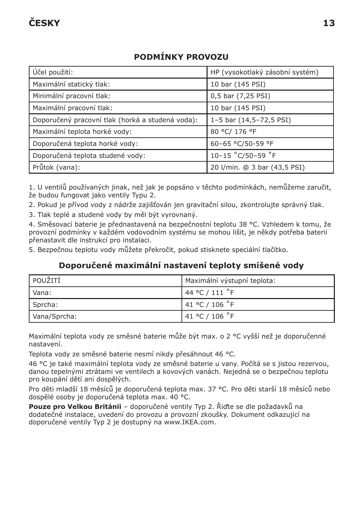# **PODMÍNKY PROVOZU**

| Účel použití:                                    | HP (vysokotlaký zásobní systém) |
|--------------------------------------------------|---------------------------------|
| Maximální statický tlak:                         | 10 bar (145 PSI)                |
| Minimální pracovní tlak:                         | 0,5 bar (7,25 PSI)              |
| Maximální pracovní tlak:                         | 10 bar (145 PSI)                |
| Doporučený pracovní tlak (horká a studená voda): | 1-5 bar (14,5-72,5 PSI)         |
| Maximální teplota horké vody:                    | 80 °C/ 176 °F                   |
| Doporučená teplota horké vody:                   | 60-65 °C/50-59 °F               |
| Doporučená teplota studené vody:                 | 10-15 °C/50-59 °F               |
| Průtok (vana):                                   | 20 I/min. @ 3 bar (43,5 PSI)    |

1. U ventilů používaných jinak, než jak je popsáno v těchto podmínkách, nemůžeme zaručit, že budou fungovat jako ventily Typu 2.

2. Pokud je přívod vody z nádrže zajišťován jen gravitační silou, zkontrolujte správný tlak.

3. Tlak teplé a studené vody by měl být vyrovnaný.

4. Směsovací baterie je přednastavená na bezpečnostní teplotu 38 °C. Vzhledem k tomu, že provozní podmínky v každém vodovodním systému se mohou lišit, je někdy potřeba baterii přenastavit dle instrukcí pro instalaci.

5. Bezpečnou teplotu vody můžete překročit, pokud stisknete speciální tlačítko.

#### **Doporučené maximální nastavení teploty smíšené vody**

| POUŽITÍ      | Maximální výstupní teplota: |
|--------------|-----------------------------|
| l Vana:      | 144 °C / 111 °F             |
| Sprcha:      | 41 °C / 106 °F              |
| Vana/Sprcha: | 141 °C / 106 °F             |

Maximální teplota vody ze směsné baterie může být max. o 2 °C vyšší než je doporučenné nastavení.

Teplota vody ze směsné baterie nesmí nikdy přesáhnout 46 °C.

46 °C je také maximální teplota vody ze směsné baterie u vany. Počítá se s jistou rezervou, danou tepelnými ztrátami ve ventilech a kovových vanách. Nejedná se o bezpečnou teplotu pro koupání dětí ani dospělých.

Pro děti mladší 18 měsíců je doporučená teplota max. 37 °C. Pro děti starší 18 měsíců nebo dospělé osoby je doporučená teplota max. 40 °C.

**Pouze pro Velkou Británii** – doporučené ventily Typ 2. Řiďte se dle požadavků na dodatečné instalace, uvedení do provozu a provozní zkoušky. Dokument odkazující na doporučené ventily Typ 2 je dostupný na www.IKEA.com.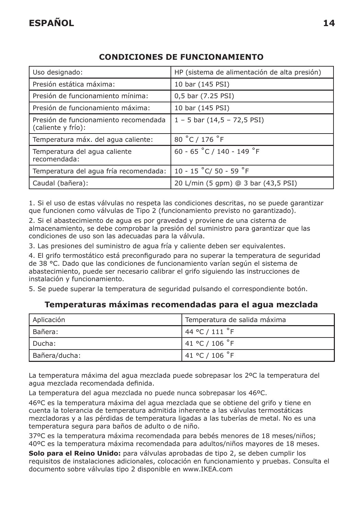| Uso designado:                                              | HP (sistema de alimentación de alta presión) |
|-------------------------------------------------------------|----------------------------------------------|
| Presión estática máxima:                                    | 10 bar (145 PSI)                             |
| Presión de funcionamiento mínima:                           | 0,5 bar (7.25 PSI)                           |
| Presión de funcionamiento máxima:                           | 10 bar (145 PSI)                             |
| Presión de funcionamiento recomendada<br>(caliente y frío): | $1 - 5$ bar $(14.5 - 72.5$ PSI)              |
| Temperatura máx. del agua caliente:                         | 80 °C / 176 °F                               |
| Temperatura del agua caliente<br>recomendada:               | 60 - 65 °C / 140 - 149 °F                    |
| Temperatura del aqua fría recomendada:                      | 10 - 15 °C/ 50 - 59 °F                       |
| Caudal (bañera):                                            | 20 L/min (5 gpm) @ 3 bar (43,5 PSI)          |

### **CONDICIONES DE FUNCIONAMIENTO**

1. Si el uso de estas válvulas no respeta las condiciones descritas, no se puede garantizar que funcionen como válvulas de Tipo 2 (funcionamiento previsto no garantizado).

2. Si el abastecimiento de agua es por gravedad y proviene de una cisterna de almacenamiento, se debe comprobar la presión del suministro para garantizar que las condiciones de uso son las adecuadas para la válvula.

3. Las presiones del suministro de agua fría y caliente deben ser equivalentes.

4. El grifo termostático está preconfigurado para no superar la temperatura de seguridad de 38 °C. Dado que las condiciones de funcionamiento varían según el sistema de abastecimiento, puede ser necesario calibrar el grifo siguiendo las instrucciones de instalación y funcionamiento.

5. Se puede superar la temperatura de seguridad pulsando el correspondiente botón.

#### **Temperaturas máximas recomendadas para el agua mezclada**

| Aplicación    | Temperatura de salida máxima |
|---------------|------------------------------|
| Bañera:       | $'$ 44 °C / 111 $\degree$ F  |
| Ducha:        | 41 °C / 106 °F               |
| Bañera/ducha: | 141 °C / 106 °F              |

La temperatura máxima del agua mezclada puede sobrepasar los 2ºC la temperatura del agua mezclada recomendada definida.

La temperatura del agua mezclada no puede nunca sobrepasar los 46ºC.

46ºC es la temperatura máxima del agua mezclada que se obtiene del grifo y tiene en cuenta la tolerancia de temperatura admitida inherente a las válvulas termostáticas mezcladoras y a las pérdidas de temperatura ligadas a las tuberías de metal. No es una temperatura segura para baños de adulto o de niño.

37ºC es la temperatura máxima recomendada para bebés menores de 18 meses/niños; 40ºC es la temperatura máxima recomendada para adultos/niños mayores de 18 meses.

**Solo para el Reino Unido:** para válvulas aprobadas de tipo 2, se deben cumplir los requisitos de instalaciones adicionales, colocación en funcionamiento y pruebas. Consulta el documento sobre válvulas tipo 2 disponible en www.IKEA.com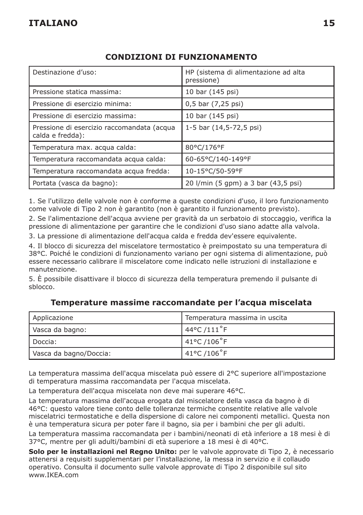#### **CONDIZIONI DI FUNZIONAMENTO**

| Destinazione d'uso:                                            | HP (sistema di alimentazione ad alta<br>pressione) |
|----------------------------------------------------------------|----------------------------------------------------|
| Pressione statica massima:                                     | 10 bar (145 psi)                                   |
| Pressione di esercizio minima:                                 | 0,5 bar (7,25 psi)                                 |
| Pressione di esercizio massima:                                | 10 bar (145 psi)                                   |
| Pressione di esercizio raccomandata (acqua<br>calda e fredda): | 1-5 bar (14,5-72,5 psi)                            |
| Temperatura max. acqua calda:                                  | 80°C/176°F                                         |
| Temperatura raccomandata acqua calda:                          | 60-65°C/140-149°F                                  |
| Temperatura raccomandata acqua fredda:                         | 10-15°C/50-59°F                                    |
| Portata (vasca da bagno):                                      | 20 l/min (5 gpm) a 3 bar (43,5 psi)                |

1. Se l'utilizzo delle valvole non è conforme a queste condizioni d'uso, il loro funzionamento come valvole di Tipo 2 non è garantito (non è garantito il funzionamento previsto).

2. Se l'alimentazione dell'acqua avviene per gravità da un serbatoio di stoccaggio, verifica la pressione di alimentazione per garantire che le condizioni d'uso siano adatte alla valvola.

3. La pressione di alimentazione dell'acqua calda e fredda dev'essere equivalente.

4. Il blocco di sicurezza del miscelatore termostatico è preimpostato su una temperatura di 38°C. Poiché le condizioni di funzionamento variano per ogni sistema di alimentazione, può essere necessario calibrare il miscelatore come indicato nelle istruzioni di installazione e manutenzione.

5. È possibile disattivare il blocco di sicurezza della temperatura premendo il pulsante di sblocco.

| Applicazione           | Temperatura massima in uscita |
|------------------------|-------------------------------|
| Vasca da bagno:        | 44°C /111°F                   |
| l Doccia:              | 41°C /106°F                   |
| Vasca da bagno/Doccia: | 41°C /106°F                   |

#### **Temperature massime raccomandate per l'acqua miscelata**

La temperatura massima dell'acqua miscelata può essere di 2°C superiore all'impostazione di temperatura massima raccomandata per l'acqua miscelata.

La temperatura dell'acqua miscelata non deve mai superare 46°C.

La temperatura massima dell'acqua erogata dal miscelatore della vasca da bagno è di 46°C: questo valore tiene conto delle tolleranze termiche consentite relative alle valvole miscelatrici termostatiche e della dispersione di calore nei componenti metallici. Questa non è una temperatura sicura per poter fare il bagno, sia per i bambini che per gli adulti.

La temperatura massima raccomandata per i bambini/neonati di età inferiore a 18 mesi è di 37°C, mentre per gli adulti/bambini di età superiore a 18 mesi è di 40°C.

**Solo per le installazioni nel Regno Unito:** per le valvole approvate di Tipo 2, è necessario attenersi a requisiti supplementari per l'installazione, la messa in servizio e il collaudo operativo. Consulta il documento sulle valvole approvate di Tipo 2 disponibile sul sito www.IKEA.com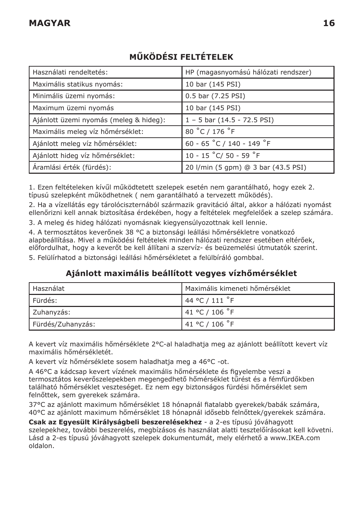| Használati rendeltetés:                | HP (magasnyomású hálózati rendszer) |
|----------------------------------------|-------------------------------------|
| Maximális statikus nyomás:             | 10 bar (145 PSI)                    |
| Minimális üzemi nyomás:                | 0.5 bar (7.25 PSI)                  |
| Maximum üzemi nyomás                   | 10 bar (145 PSI)                    |
| Ajánlott üzemi nyomás (meleg & hideg): | $1 - 5$ bar $(14.5 - 72.5$ PSI)     |
| Maximális meleg víz hőmérséklet:       | 80 °C / 176 °F                      |
| Ajánlott meleg víz hőmérséklet:        | 60 - 65 °C / 140 - 149 °F           |
| Ajánlott hideg víz hőmérséklet:        | 10 - 15 °C/ 50 - 59 °F              |
| Áramlási érték (fürdés):               | 20 l/min (5 gpm) @ 3 bar (43.5 PSI) |

# **MŰKÖDÉSI FELTÉTELEK**

1. Ezen feltételeken kívűl működtetett szelepek esetén nem garantálható, hogy ezek 2. típusú szelepként működhetnek ( nem garantálható a tervezett működés).

2. Ha a vízellátás egy tárolóciszternából származik gravitáció által, akkor a hálózati nyomást ellenőrizni kell annak biztosítása érdekében, hogy a feltételek megfelelőek a szelep számára.

3. A meleg és hideg hálózati nyomásnak kiegyensúlyozottnak kell lennie.

4. A termosztátos keverőnek 38 °C a biztonsági leállási hőmérsékletre vonatkozó alapbeállítása. Mivel a működési feltételek minden hálózati rendszer esetében eltérőek, előfordulhat, hogy a keverőt be kell állítani a szervíz- és beüzemelési útmutatók szerint.

5. Felülírhatod a biztonsági leállási hőmérsékletet a felülbíráló gombbal.

## **Ajánlott maximális beállított vegyes vízhőmérséklet**

| Használat         | Maximális kimeneti hőmérséklet |
|-------------------|--------------------------------|
| l Fürdés:         | 144 °C / 111 °F                |
| Zuhanyzás:        | 41 °C / 106 °F                 |
| Fürdés/Zuhanyzás: | 141 °C / 106 °F                |

A kevert víz maximális hőmérséklete 2°C-al haladhatja meg az ajánlott beállított kevert víz maximális hőmérsékletét.

A kevert víz hőmérséklete sosem haladhatja meg a 46°C -ot.

A 46°C a kádcsap kevert vízének maximális hőmérséklete és figyelembe veszi a termosztátos keverőszelepekben megengedhető hőmérséklet tűrést és a fémfürdőkben található hőmérséklet veszteséget. Ez nem egy biztonságos fürdési hőmérséklet sem felnőttek, sem gyerekek számára.

37°C az ajánlott maximum hőmérséklet 18 hónapnál fiatalabb gyerekek/babák számára, 40°C az ajánlott maximum hőmérséklet 18 hónapnál idősebb felnőttek/gyerekek számára.

**Csak az Egyesült Királyságbeli beszerelésekhez** - a 2-es típusú jóváhagyott szelepekhez, további beszerelés, megbízásos és használat alatti tesztelőírásokat kell követni. Lásd a 2-es típusú jóváhagyott szelepek dokumentumát, mely elérhető a www.IKEA.com oldalon.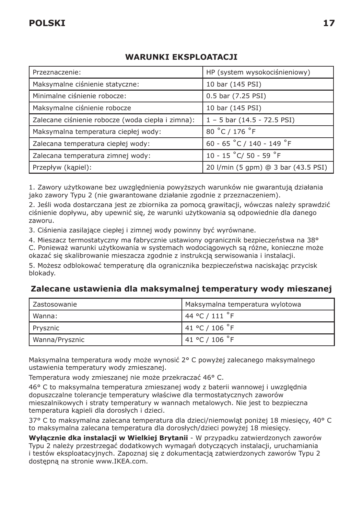#### **WARUNKI EKSPLOATACJI**

| Przeznaczenie:                                    | HP (system wysokociśnieniowy)       |
|---------------------------------------------------|-------------------------------------|
| Maksymalne ciśnienie statyczne:                   | 10 bar (145 PSI)                    |
| Minimalne ciśnienie robocze:                      | 0.5 bar (7.25 PSI)                  |
| Maksymalne ciśnienie robocze                      | 10 bar (145 PSI)                    |
| Zalecane ciśnienie robocze (woda ciepła i zimna): | $1 - 5$ bar (14.5 - 72.5 PSI)       |
| Maksymalna temperatura ciepłej wody:              | 80 °C / 176 °F                      |
| Zalecana temperatura ciepłej wody:                | 60 - 65 °C / 140 - 149 °F           |
| Zalecana temperatura zimnej wody:                 | 10 - 15 °C/ 50 - 59 °F              |
| Przepływ (kapiel):                                | 20 I/min (5 gpm) @ 3 bar (43.5 PSI) |

1. Zawory użytkowane bez uwzględnienia powyższych warunków nie gwarantują działania jako zawory Typu 2 (nie gwarantowane działanie zgodnie z przeznaczeniem).

2. Jeśli woda dostarczana jest ze zbiornika za pomocą grawitacji, wówczas należy sprawdzić ciśnienie dopływu, aby upewnić się, że warunki użytkowania są odpowiednie dla danego zaworu.

3. Ciśnienia zasilające ciepłej i zimnej wody powinny być wyrównane.

4. Mieszacz termostatyczny ma fabrycznie ustawiony ogranicznik bezpieczeństwa na 38° C. Ponieważ warunki użytkowania w systemach wodociągowych są różne, konieczne może okazać się skalibrowanie mieszacza zgodnie z instrukcją serwisowania i instalacji.

5. Możesz odblokować temperaturę dla ogranicznika bezpieczeństwa naciskając przycisk blokady.

#### **Zalecane ustawienia dla maksymalnej temperatury wody mieszanej**

| l Zastosowanie | Maksymalna temperatura wylotowa |
|----------------|---------------------------------|
| l Wanna:       | 144 °C / 111 °F                 |
| Prysznic       | 141 °C / 106 °F                 |
| Wanna/Prysznic | 141 °C / 106 °F                 |

Maksymalna temperatura wody może wynosić 2° C powyżej zalecanego maksymalnego ustawienia temperatury wody zmieszanej.

Temperatura wody zmieszanej nie może przekraczać 46° C.

46° C to maksymalna temperatura zmieszanej wody z baterii wannowej i uwzględnia dopuszczalne tolerancje temperatury właściwe dla termostatycznych zaworów mieszalnikowych i straty temperatury w wannach metalowych. Nie jest to bezpieczna temperatura kąpieli dla dorosłych i dzieci.

37° C to maksymalna zalecana temperatura dla dzieci/niemowląt poniżej 18 miesięcy, 40° C to maksymalna zalecana temperatura dla dorosłych/dzieci powyżej 18 miesięcy.

**Wyłącznie dka instalacji w Wielkiej Brytanii** - W przypadku zatwierdzonych zaworów Typu 2 należy przestrzegać dodatkowych wymagań dotyczących instalacji, uruchamiania i testów eksploatacyjnych. Zapoznaj się z dokumentacją zatwierdzonych zaworów Typu 2 dostępną na stronie www.IKEA.com.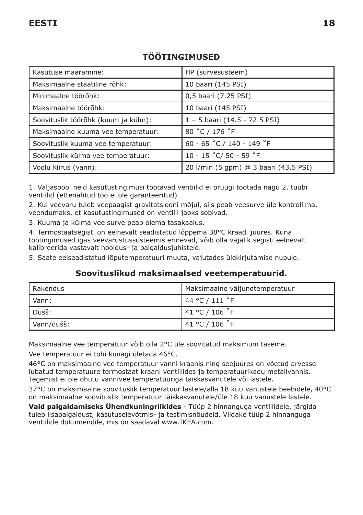| Kasutuse määramine:                 | HP (survesüsteem)                     |
|-------------------------------------|---------------------------------------|
| Maksimaalne staatiline rõhk:        | 10 baari (145 PSI)                    |
| Minimaalne töörõhk:                 | 0,5 baari (7.25 PSI)                  |
| Maksimaalne töörõhk:                | 10 baari (145 PSI)                    |
| Soovituslik töörõhk (kuum ja külm): | 1 - 5 baari (14.5 - 72.5 PSI)         |
| Maksimaalne kuuma vee temperatuur:  | 80 °C / 176 °F                        |
| Soovituslik kuuma vee temperatuur:  | 60 - 65 °C / 140 - 149 °F             |
| Soovituslik külma vee temperatuur:  | 10 - 15 °C/ 50 - 59 °F                |
| Voolu kiirus (vann):                | 20 l/min (5 gpm) @ 3 baari (43,5 PSI) |

# **TÖÖTINGIMUSED**

1. Väljaspool neid kasutustingimusi töötavad ventiilid ei pruugi töötada nagu 2. tüübi ventiilid (ettenähtud töö ei ole garanteeritud)

2. Kui veevaru tuleb veepaagist gravitatsiooni mõjul, siis peab veesurve üle kontrollima, veendumaks, et kasutustingimused on ventiili jaoks sobivad.

3. Kuuma ja külma vee surve peab olema tasakaalus.

4. Termostaatsegisti on eelnevalt seadistatud lõppema 38°C kraadi juures. Kuna töötingimused igas veevarustussüsteemis erinevad, võib olla vajalik segisti eelnevalt kalibreerida vastavalt hooldus- ja paigaldusjuhistele.

5. Saate eelseadistatud lõputemperatuuri muuta, vajutades ülekirjutamise nupule.

#### **Soovituslikud maksimaalsed veetemperatuurid.**

| Rakendus   | Maksimaalne väljundtemperatuur |
|------------|--------------------------------|
| I Vann:    | 144 °C / 111 °F                |
| Dušš:      | 141 °C / 106 °F                |
| Vann/dušš: | 141 °C / 106 °F                |

Maksimaalne vee temperatuur võib olla 2°C üle soovitatud maksimum taseme.

Vee temperatuur ei tohi kunagi ületada 46°C.

46°C on maksimaalne vee temperatuur vanni kraanis ning seejuures on võetud arvesse lubatud temperatuure termostaat kraani ventiilides ja temperatuurikadu metallvannis. Tegemist ei ole ohutu vannivee temperatuuriga täiskasvanutele või lastele.

37°C on maksimaalne soovituslik temperatuur lastele/alla 18 kuu vanustele beebidele, 40°C on maksimaalne soovituslik temperatuur täiskasvanutele/üle 18 kuu vanustele lastele.

**Vaid paigaldamiseks Ühendkuningriikides** - Tüüp 2 hinnanguga ventiilidele, järgida tuleb lisapaigaldust, kasutuselevõtmis- ja testimisnõudeid. Viidake tüüp 2 hinnanguga ventiilide dokumendile, mis on saadaval www.IKEA.com.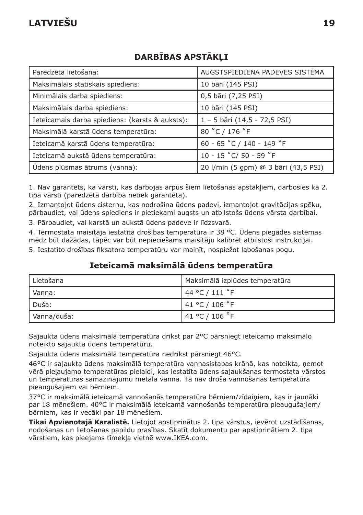| Paredzētā lietošana:                            | AUGSTSPIEDIENA PADEVES SISTĒMA       |
|-------------------------------------------------|--------------------------------------|
| Maksimālais statiskais spiediens:               | 10 bāri (145 PSI)                    |
| Minimālais darba spiediens:                     | 0,5 bāri (7,25 PSI)                  |
| Maksimālais darba spiediens:                    | 10 bāri (145 PSI)                    |
| Ieteicamais darba spiediens: (karsts & auksts): | 1 - 5 bāri (14,5 - 72,5 PSI)         |
| Maksimālā karstā ūdens temperatūra:             | 80 °C / 176 °F                       |
| Ieteicamā karstā ūdens temperatūra:             | 60 - 65 °C / 140 - 149 °F            |
| Ieteicamā aukstā ūdens temperatūra:             | 10 - 15 °C/ 50 - 59 °F               |
| Ūdens plūsmas ātrums (vanna):                   | 20 l/min (5 gpm) @ 3 bāri (43,5 PSI) |

# **DARBĪBAS APSTĀKĻI**

1. Nav garantēts, ka vārsti, kas darbojas ārpus šiem lietošanas apstākļiem, darbosies kā 2. tipa vārsti (paredzētā darbība netiek garantēta).

2. Izmantojot ūdens cisternu, kas nodrošina ūdens padevi, izmantojot gravitācijas spēku, pārbaudiet, vai ūdens spiediens ir pietiekami augsts un atbilstošs ūdens vārsta darbībai.

3. Pārbaudiet, vai karstā un aukstā ūdens padeve ir līdzsvarā.

4. Termostata maisītāja iestatītā drošības temperatūra ir 38 °C. Ūdens piegādes sistēmas mēdz būt dažādas, tāpēc var būt nepieciešams maisītāju kalibrēt atbilstoši instrukcijai.

5. Iestatīto drošības fiksatora temperatūru var mainīt, nospiežot labošanas pogu.

#### **Ieteicamā maksimālā ūdens temperatūra**

| l Lietošana | Maksimālā izplūdes temperatūra |
|-------------|--------------------------------|
| l Vanna:    | 44 °C / 111 °F                 |
| l Duša:     | 41 °C / 106 °F                 |
| Vanna/duša: | 141 °C / 106 °F                |

Sajaukta ūdens maksimālā temperatūra drīkst par 2°C pārsniegt ieteicamo maksimālo noteikto sajaukta ūdens temperatūru.

Sajaukta ūdens maksimālā temperatūra nedrīkst pārsniegt 46°C.

46°C ir sajaukta ūdens maksimālā temperatūra vannasistabas krānā, kas noteikta, ņemot vērā pieļaujamo temperatūras pielaidi, kas iestatīta ūdens sajaukšanas termostata vārstos un temperatūras samazinājumu metāla vannā. Tā nav droša vannošanās temperatūra pieaugušajiem vai bērniem.

37°C ir maksimālā ieteicamā vannošanās temperatūra bērniem/zīdaiņiem, kas ir jaunāki par 18 mēnešiem. 40°C ir maksimālā ieteicamā vannošanās temperatūra pieaugušajiem/ bērniem, kas ir vecāki par 18 mēnešiem.

**Tikai Apvienotajā Karalistē.** Lietojot apstiprinātus 2. tipa vārstus, ievērot uzstādīšanas, nodošanas un lietošanas papildu prasības. Skatīt dokumentu par apstiprinātiem 2. tipa vārstiem, kas pieejams tīmekļa vietnē www.IKEA.com.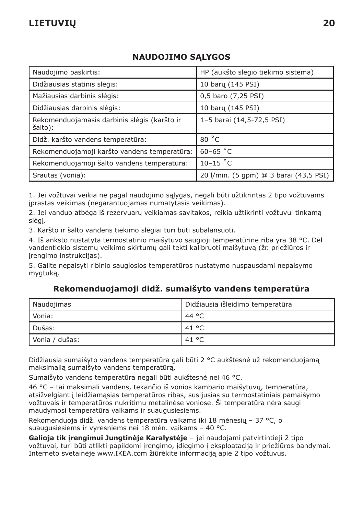### **NAUDOJIMO SĄLYGOS**

| Naudojimo paskirtis:                                    | HP (aukšto slėgio tiekimo sistema)     |
|---------------------------------------------------------|----------------------------------------|
| Didžiausias statinis slėgis:                            | 10 bary (145 PSI)                      |
| Mažiausias darbinis slėgis:                             | 0,5 baro (7,25 PSI)                    |
| Didžiausias darbinis slėgis:                            | 10 baru (145 PSI)                      |
| Rekomenduojamasis darbinis slėgis (karšto ir<br>šalto): | 1-5 barai (14,5-72,5 PSI)              |
| Didž. karšto vandens temperatūra:                       | 80 °C                                  |
| Rekomenduojamoji karšto vandens temperatūra:            | $60 - 65$ °C                           |
| Rekomenduojamoji šalto vandens temperatūra:             | $10-15$ °C                             |
| Srautas (vonia):                                        | 20 I/min. (5 gpm) @ 3 barai (43,5 PSI) |

1. Jei vožtuvai veikia ne pagal naudojimo sąlygas, negali būti užtikrintas 2 tipo vožtuvams įprastas veikimas (negarantuojamas numatytasis veikimas).

2. Jei vanduo atbėga iš rezervuarų veikiamas savitakos, reikia užtikrinti vožtuvui tinkamą slėgį.

3. Karšto ir šalto vandens tiekimo slėgiai turi būti subalansuoti.

4. Iš anksto nustatyta termostatinio maišytuvo saugioji temperatūrinė riba yra 38 °C. Dėl vandentiekio sistemų veikimo skirtumų gali tekti kalibruoti maišytuvą (žr. priežiūros ir įrengimo instrukcijas).

5. Galite nepaisyti ribinio saugiosios temperatūros nustatymo nuspausdami nepaisymo mygtuką.

#### **Rekomenduojamoji didž. sumaišyto vandens temperatūra**

| Naudojimas     | Didžiausia išleidimo temperatūra |
|----------------|----------------------------------|
| Vonia:         | 44 °C                            |
| Dušas:         | 41 °C                            |
| Vonia / dušas: | 41 °C                            |

Didžiausia sumaišyto vandens temperatūra gali būti 2 °C aukštesnė už rekomenduojamą maksimalią sumaišyto vandens temperatūrą.

Sumaišyto vandens temperatūra negali būti aukštesnė nei 46 °C.

46 °C – tai maksimali vandens, tekančio iš vonios kambario maišytuvų, temperatūra, atsižvelgiant į leidžiamąsias temperatūros ribas, susijusias su termostatiniais pamaišymo vožtuvais ir temperatūros nukritimu metalinėse voniose. Ši temperatūra nėra saugi maudymosi temperatūra vaikams ir suaugusiesiems.

Rekomenduoja didž. vandens temperatūra vaikams iki 18 mėnesių – 37 °C, o suaugusiesiems ir vyresniems nei 18 mėn. vaikams – 40 °C.

**Galioja tik įrengimui Jungtinėje Karalystėje** – jei naudojami patvirtintieji 2 tipo vožtuvai, turi būti atlikti papildomi įrengimo, įdiegimo į eksploataciją ir priežiūros bandymai. Interneto svetainėje www.IKEA.com žiūrėkite informaciją apie 2 tipo vožtuvus.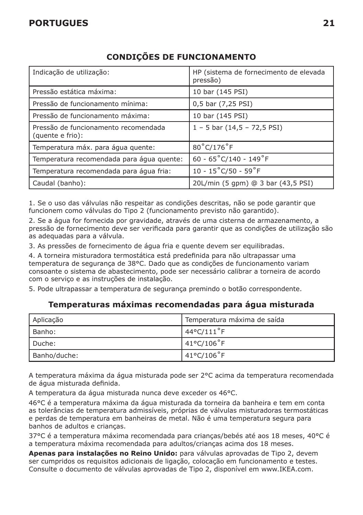## **PORTUGUES 21**

| Indicação de utilização:                                 | HP (sistema de fornecimento de elevada<br>pressão) |
|----------------------------------------------------------|----------------------------------------------------|
| Pressão estática máxima:                                 | 10 bar (145 PSI)                                   |
| Pressão de funcionamento mínima:                         | 0,5 bar (7,25 PSI)                                 |
| Pressão de funcionamento máxima:                         | 10 bar (145 PSI)                                   |
| Pressão de funcionamento recomendada<br>(quente e frio): | $1 - 5$ bar $(14.5 - 72.5$ PSI)                    |
| Temperatura máx. para água quente:                       | 80°C/176°F                                         |
| Temperatura recomendada para água quente:                | 60 - $65^{\circ}$ C/140 - 149 $^{\circ}$ F         |
| Temperatura recomendada para água fria:                  | $10 - 15^{\circ}$ C/50 - 59 $^{\circ}$ F           |
| Caudal (banho):                                          | 20L/min (5 gpm) @ 3 bar (43,5 PSI)                 |

# **CONDIÇÕES DE FUNCIONAMENTO**

1. Se o uso das válvulas não respeitar as condições descritas, não se pode garantir que funcionem como válvulas do Tipo 2 (funcionamento previsto não garantido).

2. Se a água for fornecida por gravidade, através de uma cisterna de armazenamento, a pressão de fornecimento deve ser verificada para garantir que as condições de utilização são as adequadas para a válvula.

3. As pressões de fornecimento de água fria e quente devem ser equilibradas.

4. A torneira misturadora termostática está predefinida para não ultrapassar uma temperatura de segurança de 38°C. Dado que as condições de funcionamento variam consoante o sistema de abastecimento, pode ser necessário calibrar a torneira de acordo com o serviço e as instruções de instalação.

5. Pode ultrapassar a temperatura de segurança premindo o botão correspondente.

#### **Temperaturas máximas recomendadas para água misturada**

| Aplicação    | Temperatura máxima de saída |
|--------------|-----------------------------|
| Banho:       | 44°C/111°F                  |
| l Duche:     | 41°C/106°F                  |
| Banho/duche: | 41°C/106°F                  |

A temperatura máxima da água misturada pode ser 2°C acima da temperatura recomendada de água misturada definida.

A temperatura da água misturada nunca deve exceder os 46°C.

46°C é a temperatura máxima da água misturada da torneira da banheira e tem em conta as tolerâncias de temperatura admissíveis, próprias de válvulas misturadoras termostáticas e perdas de temperatura em banheiras de metal. Não é uma temperatura segura para banhos de adultos e crianças.

37°C é a temperatura máxima recomendada para crianças/bebés até aos 18 meses, 40°C é a temperatura máxima recomendada para adultos/crianças acima dos 18 meses.

**Apenas para instalações no Reino Unido:** para válvulas aprovadas de Tipo 2, devem ser cumpridos os requisitos adicionais de ligação, colocação em funcionamento e testes. Consulte o documento de válvulas aprovadas de Tipo 2, disponível em www.IKEA.com.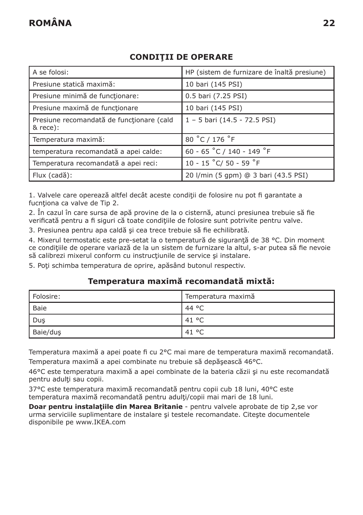### **CONDIŢII DE OPERARE**

| A se folosi:                                          | HP (sistem de furnizare de înaltă presiune) |
|-------------------------------------------------------|---------------------------------------------|
| Presiune statică maximă:                              | 10 bari (145 PSI)                           |
| Presiune minimă de funcționare:                       | 0.5 bari (7.25 PSI)                         |
| Presiune maximă de funcționare                        | 10 bari (145 PSI)                           |
| Presiune recomandată de functionare (cald<br>& rece): | $1 - 5$ bari (14.5 - 72.5 PSI)              |
| Temperatura maximă:                                   | 80 °C / 176 °F                              |
| temperatura recomandată a apei calde:                 | 60 - 65 °C / 140 - 149 °F                   |
| Temperatura recomandată a apei reci:                  | 10 - 15 °C/ 50 - 59 °F                      |
| Flux (cadă):                                          | 20 l/min (5 gpm) @ 3 bari (43.5 PSI)        |

1. Valvele care operează altfel decât aceste condiții de folosire nu pot fi garantate a fucnționa ca valve de Tip 2.

2. În cazul în care sursa de apă provine de la o cisternă, atunci presiunea trebuie să fie verificată pentru a fi siguri că toate condiţiile de folosire sunt potrivite pentru valve.

3. Presiunea pentru apa caldă şi cea trece trebuie să fie echilibrată.

4. Mixerul termostatic este pre-setat la o temperatură de siguranță de 38 °C. Din moment ce condițiile de operare variază de la un sistem de furnizare la altul, s-ar putea să fie nevoie să calibrezi mixerul conform cu instrucțiunile de service și instalare.

5. Poti schimba temperatura de oprire, apăsând butonul respectiv.

#### **Temperatura maximă recomandată mixtă:**

| l Folosire: | Temperatura maximă |
|-------------|--------------------|
| l Baie      | 44 °C              |
| Dus         | 41 °C              |
| Baie/dus    | 41 °C              |

Temperatura maximă a apei poate fi cu 2°C mai mare de temperatura maximă recomandată. Temperatura maximă a apei combinate nu trebuie să depăşească 46°C.

46°C este temperatura maximă a apei combinate de la bateria căzii şi nu este recomandată pentru adulți sau copii.

37°C este temperatura maximă recomandată pentru copii cub 18 luni, 40°C este temperatura maximă recomandată pentru adulţi/copii mai mari de 18 luni.

**Doar pentru instalaţiile din Marea Britanie** - pentru valvele aprobate de tip 2,se vor urma serviciile suplimentare de instalare şi testele recomandate. Citeşte documentele disponibile pe www.IKEA.com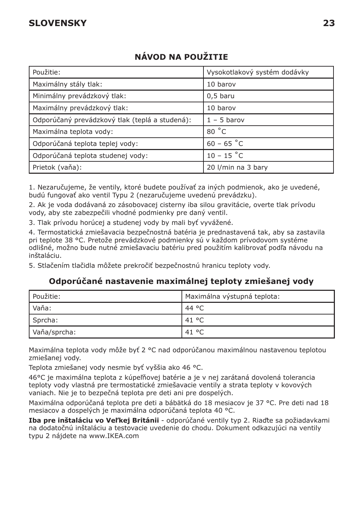| Použitie:                                      | Vysokotlakový systém dodávky |
|------------------------------------------------|------------------------------|
| Maximálny stály tlak:                          | 10 barov                     |
| Minimálny prevádzkový tlak:                    | $0.5$ baru                   |
| Maximálny prevádzkový tlak:                    | 10 barov                     |
| Odporúčaný prevádzkový tlak (teplá a studená): | $1 - 5$ barov                |
| Maximálna teplota vody:                        | 80 °C                        |
| Odporúčaná teplota teplej vody:                | $60 - 65 °C$                 |
| Odporúčaná teplota studenej vody:              | $10 - 15$ °C                 |
| Prietok (vaňa):                                | 20 I/min na 3 bary           |

# **NÁVOD NA POUŽITIE**

1. Nezaručujeme, že ventily, ktoré budete používať za iných podmienok, ako je uvedené, budú fungovať ako ventil Typu 2 (nezaručujeme uvedenú prevádzku).

2. Ak je voda dodávaná zo zásobovacej cisterny iba silou gravitácie, overte tlak prívodu vody, aby ste zabezpečili vhodné podmienky pre daný ventil.

3. Tlak prívodu horúcej a studenej vody by mali byť vyvážené.

4. Termostatická zmiešavacia bezpečnostná batéria je prednastavená tak, aby sa zastavila pri teplote 38 °C. Pretože prevádzkové podmienky sú v každom prívodovom systéme odlišné, možno bude nutné zmiešavaciu batériu pred použitím kalibrovať podľa návodu na inštaláciu.

5. Stlačením tlačidla môžete prekročiť bezpečnostnú hranicu teploty vody.

#### **Odporúčané nastavenie maximálnej teploty zmiešanej vody**

| Použitie:    | Maximálna výstupná teplota: |
|--------------|-----------------------------|
| Vaňa:        | 44 °C                       |
| Sprcha:      | 41 °C                       |
| Vaňa/sprcha: | 41 °C                       |

Maximálna teplota vody môže byť 2 °C nad odporúčanou maximálnou nastavenou teplotou zmiešanej vody.

Teplota zmiešanej vody nesmie byť vyššia ako 46 °C.

46°C je maximálna teplota z kúpeľňovej batérie a je v nej zarátaná dovolená tolerancia teploty vody vlastná pre termostatické zmiešavacie ventily a strata teploty v kovových vaniach. Nie je to bezpečná teplota pre deti ani pre dospelých.

Maximálna odporúčaná teplota pre deti a bábätká do 18 mesiacov je 37 °C. Pre deti nad 18 mesiacov a dospelých je maximálna odporúčaná teplota 40 °C.

**Iba pre inštaláciu vo Veľkej Británii** - odporúčané ventily typ 2. Riaďte sa požiadavkami na dodatočnú inštaláciu a testovacie uvedenie do chodu. Dokument odkazujúci na ventily typu 2 nájdete na www.IKEA.com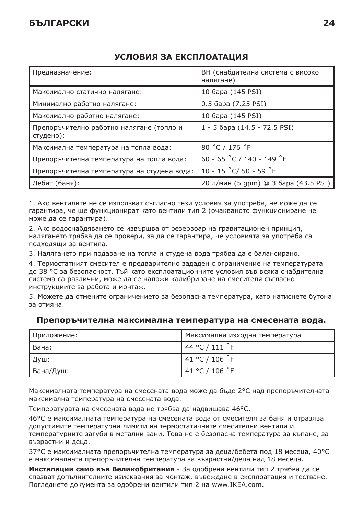| Предназначение:                                       | ВН (снабдителна система с високо<br>налягане) |
|-------------------------------------------------------|-----------------------------------------------|
| Максимално статично налягане:                         | 10 бара (145 PSI)                             |
| Минимално работно налягане:                           | 0.5 6apa (7.25 PSI)                           |
| Максимално работно налягане:                          | 10 бара (145 PSI)                             |
| Препоръчително работно налягане (топло и<br>студено): | 1 - 5 бара (14.5 - 72.5 PSI)                  |
| Максимална температура на топла вода:                 | 80 °C / 176 °F                                |
| Препоръчителна температура на топла вода:             | 60 - 65 °C / 140 - 149 °F                     |
| Препоръчителна температура на студена вода:           | 10 - 15 °C/ 50 - 59 °F                        |
| Дебит (баня):                                         | 20 л/мин (5 дрт) @ 3 бара (43.5 PSI)          |

### **УСЛОВИЯ ЗА ЕКСПЛОАТАЦИЯ**

1. Ако вентилите не се използват съгласно тези условия за употреба, не може да се гарантира, че ще функционират като вентили тип 2 (очакваното функциониране не може да се гарантира).

2. Ако водоснабдяването се извършва от резервоар на гравитационен принцип, налягането трябва да се провери, за да се гарантира, че условията за употреба са подходящи за вентила.

3. Налягането при подаване на топла и студена вода трябва да е балансирано.

4. Термостатният смесител е предварително зададен с ограничение на температурата до 38 °C за безопасност. Тъй като експлоатационните условия във всяка снабдителна система са различни, може да се наложи калибриране на смесителя съгласно инструкциите за работа и монтаж.

5. Можете да отмените ограничението за безопасна температура, като натиснете бутона за отмяна.

| Приложение: | Максимална изходна температура |
|-------------|--------------------------------|
| I Вана:     | 144 °C / 111 °F                |
| Душ:        | 141 °C / 106 °F                |
| Вана/Душ:   | 141 °C / 106 °F                |

#### **Препоръчителна максимална температура на смесената вода.**

Максималната температура на смесената вода може да бъде 2°C над препоръчителната максимална температура на смесената вода.

Температурата на смесената вода не трябва да надвишава 46°C.

46°C е максималната температура на смесената вода от смесителя за баня и отразява допустимите температурни лимити на термостатичните смесителни вентили и температурните загуби в метални вани. Това не е безопасна температура за къпане, за възрастни и деца.

37°C е максималната препоръчителна температура за деца/бебета под 18 месеца, 40°C е максималната препоръчителна температура за възрастни/деца над 18 месеца.

**Инсталации само във Великобритания** - За одобрени вентили тип 2 трябва да се спазват допълнителните изисквания за монтаж, въвеждане в експлоатация и тестване. Погледнете документа за одобрени вентили тип 2 на www.IKEA.com.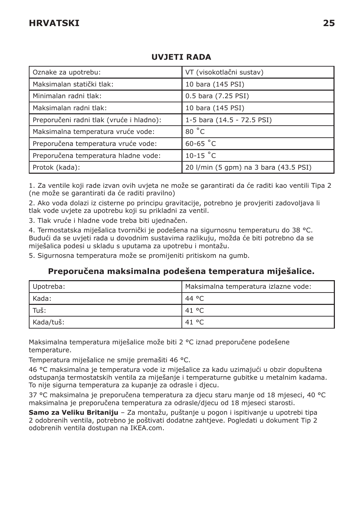| Oznake za upotrebu:                      | VT (visokotlačni sustav)              |
|------------------------------------------|---------------------------------------|
| Maksimalan statički tlak:                | 10 bara (145 PSI)                     |
| Minimalan radni tlak:                    | 0.5 bara (7.25 PSI)                   |
| Maksimalan radni tlak:                   | 10 bara (145 PSI)                     |
| Preporučeni radni tlak (vruće i hladno): | 1-5 bara (14.5 - 72.5 PSI)            |
| Maksimalna temperatura vruće vode:       | 80 °C                                 |
| Preporučena temperatura vruće vode:      | $60-65$ °C                            |
| Preporučena temperatura hladne vode:     | $10-15$ °C                            |
| Protok (kada):                           | 20 l/min (5 gpm) na 3 bara (43.5 PSI) |

### **UVJETI RADA**

1. Za ventile koji rade izvan ovih uvjeta ne može se garantirati da će raditi kao ventili Tipa 2 (ne može se garantirati da će raditi pravilno)

2. Ako voda dolazi iz cisterne po principu gravitacije, potrebno je provjeriti zadovoljava li tlak vode uvjete za upotrebu koji su prikladni za ventil.

3. Tlak vruće i hladne vode treba biti ujednačen.

4. Termostatska miješalica tvornički je podešena na sigurnosnu temperaturu do 38 °C. Budući da se uvjeti rada u dovodnim sustavima razlikuju, možda će biti potrebno da se miješalica podesi u skladu s uputama za upotrebu i montažu.

5. Sigurnosna temperatura može se promijeniti pritiskom na gumb.

#### **Preporučena maksimalna podešena temperatura miješalice.**

| Upotreba: | Maksimalna temperatura izlazne vode: |
|-----------|--------------------------------------|
| l Kada:   | 44 °C                                |
| Tuš:      | . 41 °C                              |
| Kada/tuš: | . 41 °C                              |

Maksimalna temperatura miješalice može biti 2 °C iznad preporučene podešene temperature.

Temperatura miješalice ne smije premašiti 46 °C.

46 °C maksimalna je temperatura vode iz miješalice za kadu uzimajući u obzir dopuštena odstupanja termostatskih ventila za miješanje i temperaturne gubitke u metalnim kadama. To nije sigurna temperatura za kupanje za odrasle i djecu.

37 °C maksimalna je preporučena temperatura za djecu staru manje od 18 mjeseci, 40 °C maksimalna je preporučena temperatura za odrasle/djecu od 18 mjeseci starosti.

**Samo za Veliku Britaniju** – Za montažu, puštanje u pogon i ispitivanje u upotrebi tipa 2 odobrenih ventila, potrebno je poštivati dodatne zahtjeve. Pogledati u dokument Tip 2 odobrenih ventila dostupan na IKEA.com.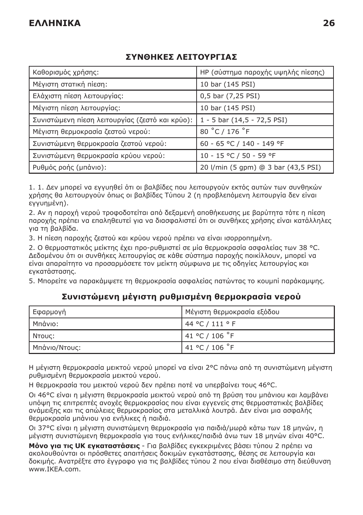## **ΣΥΝΘΗΚΕΣ ΛΕΙΤΟΥΡΓΙΑΣ**

| Καθορισμός χρήσης:                              | ΗΡ (σύστημα παροχής υψηλής πίεσης)  |
|-------------------------------------------------|-------------------------------------|
| Μέγιστη στατική πίεση:                          | 10 bar (145 PSI)                    |
| Ελάχιστη πίεση λειτουργίας:                     | 0,5 bar (7,25 PSI)                  |
| Μέγιστη πίεση λειτουργίας:                      | 10 bar (145 PSI)                    |
| Συνιστώμενη πίεση λειτουργίας (ζεστό και κρύο): | $1 - 5$ bar $(14, 5 - 72, 5$ PSI)   |
| Μέγιστη θερμοκρασία ζεστού νερού:               | 80 °C / 176 °F                      |
| Συνιστώμενη θερμοκρασία ζεστού νερού:           | 60 - 65 °C / 140 - 149 °F           |
| Συνιστώμενη θερμοκρασία κρύου νερού:            | 10 - 15 °C / 50 - 59 °F             |
| Ρυθμός ροής (μπάνιο):                           | 20 l/min (5 gpm) @ 3 bar (43,5 PSI) |

1. 1. Δεν μπορεί να εγγυηθεί ότι οι βαλβίδες που λειτουργούν εκτός αυτών των συνθηκών χρήσης θα λειτουργούν όπως οι βαλβίδες Τύπου 2 (η προβλεπόμενη λειτουργία δεν είναι εγγυημένη).

2. Αν η παροχή νερού τροφοδοτείται από δεξαμενή αποθήκευσης με βαρύτητα τότε η πίεση παροχής πρέπει να επαληθευτεί για να διασφαλιστεί ότι οι συνθήκες χρήσης είναι κατάλληλες για τη βαλβίδα.

3. Η πίεση παροχής ζεστού και κρύου νερού πρέπει να είναι ισορροπημένη.

2. Ο θερμοστατικός μείκτης έχει προ-ρυθμιστεί σε μία θερμοκρασία ασφαλείας των 38 °C. Δεδομένου ότι οι συνθήκες λειτουργίας σε κάθε σύστημα παροχής ποικίλλουν, μπορεί να είναι απαραίτητο να προσαρμόσετε τον μείκτη σύμφωνα με τις οδηγίες λειτουργίας και εγκατάστασης.

5. Μπορείτε να παρακάμψετε τη θερμοκρασία ασφαλείας πατώντας το κουμπί παράκαμψης.

# Εφαρμογή Μέγιστη θερμοκρασία εξόδου Μπάνιο: 44 °C / 111 ° F Ντους: 41 °C / 106 ˚F Μπάνιο/Ντους: 41 °C / 106 ˚F

## **Συνιστώμενη μέγιστη ρυθμισμένη θερμοκρασία νερού**

Η μέγιστη θερμοκρασία μεικτού νερού μπορεί να είναι 2°C πάνω από τη συνιστώμενη μέγιστη ρυθμισμένη θερμοκρασία μεικτού νερού.

Η θερμοκρασία του μεικτού νερού δεν πρέπει ποτέ να υπερβαίνει τους 46°C.

Οι 46°C είναι η μέγιστη θερμοκρασία μεικτού νερού από τη βρύση του μπάνιου και λαμβάνει υπόψη τις επιτρεπτές ανοχές θερμοκρασίας που είναι εγγενείς στις θερμοστατικές βαλβίδες ανάμειξης και τις απώλειες θερμοκρασίας στα μεταλλικά λουτρά. Δεν είναι μια ασφαλής θερμοκρασία μπάνιου για ενήλικες ή παιδιά.

Οι 37°C είναι η μέγιστη συνιστώμενη θερμοκρασία για παιδιά/μωρά κάτω των 18 μηνών, η μέγιστη συνιστώμενη θερμοκρασία για τους ενήλικες/παιδιά άνω των 18 μηνών είναι 40°C.

**Μόνο για τις UK εγκαταστάσεις** - Για βαλβίδες εγκεκριμένες βάσει τύπου 2 πρέπει να ακολουθούνται οι πρόσθετες απαιτήσεις δοκιμών εγκατάστασης, θέσης σε λειτουργία και δοκιμής. Ανατρέξτε στο έγγραφο για τις βαλβίδες τύπου 2 που είναι διαθέσιμο στη διεύθυνση www.IKEA.com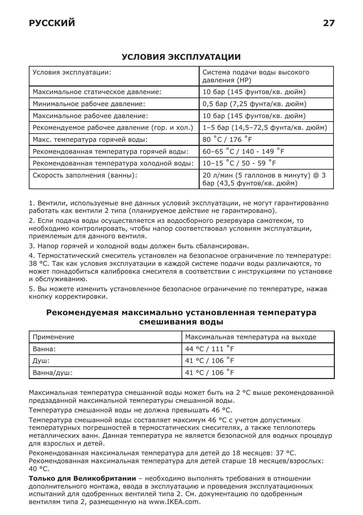#### **УСЛОВИЯ ЭКСПЛУАТАЦИИ**

| Условия эксплуатации:                        | Система подачи воды высокого<br>давления (НР)                    |
|----------------------------------------------|------------------------------------------------------------------|
| Максимальное статическое давление:           | 10 бар (145 фунтов/кв. дюйм)                                     |
| Минимальное рабочее давление:                | 0,5 бар (7,25 фунта/кв. дюйм)                                    |
| Максимальное рабочее давление:               | 10 бар (145 фунтов/кв. дюйм)                                     |
| Рекомендуемое рабочее давление (гор. и хол.) | 1-5 бар (14,5-72,5 фунта/кв. дюйм)                               |
| Макс. температура горячей воды:              | 80 °C / 176 °F                                                   |
| Рекомендованная температура горячей воды:    | 60-65 °C / 140 - 149 °F                                          |
| Рекомендованная температура холодной воды:   | 10-15 °C / 50 - 59 °F                                            |
| Скорость заполнения (ванны):                 | 20 л/мин (5 галлонов в минуту) @ 3<br>бар (43,5 фунтов/кв. дюйм) |

1. Вентили, используемые вне данных условий эксплуатации, не могут гарантированно работать как вентили 2 типа (планируемое действие не гарантировано).

2. Если подача воды осуществляется из водосборного резервуара самотеком, то необходимо контролировать, чтобы напор соответствовал условиям эксплуатации, приемлемым для данного вентиля.

3. Напор горячей и холодной воды должен быть сбалансирован.

4. Термостатический смеситель установлен на безопасное ограничение по температуре: 38 °C. Так как условия эксплуатации в каждой системе подачи воды различаются, то может понадобиться калибровка смесителя в соответствии с инструкциями по установке и обслуживанию.

5. Вы можете изменить установленное безопасное ограничение по температуре, нажав кнопку корректировки.

#### **Рекомендуемая максимально установленная температура смешивания воды**

| Применение | Иаксимальная температура на выходе |
|------------|------------------------------------|
| I Ванна:   | 44 °C / 111 $\degree$ F            |
| Душ:       | 141 °C / 106 °F                    |
| Ванна/душ: | 141 °C / 106 °F                    |

Максимальная температура смешанной воды может быть на 2 °C выше рекомендованной предзаданной максимальной температуры смешанной воды.

Температура смешанной воды не должна превышать 46 °C.

Температура смешанной воды составляет максимум 46 °C с учетом допустимых температурных погрешностей в термостатических смесителях, а также теплопотерь металлических ванн. Данная температура не является безопасной для водных процедур для взрослых и детей.

Рекомендованная максимальная температура для детей до 18 месяцев: 37 °C. Рекомендованная максимальная температура для детей старше 18 месяцев/взрослых: 40 °C.

**Только для Великобритании** – необходимо выполнять требования в отношении дополнительного монтажа, ввода в эксплуатацию и проведения эксплуатационных испытаний для одобренных вентилей типа 2. См. документацию по одобренным вентилям типа 2, размещенную на www.IKEA.com.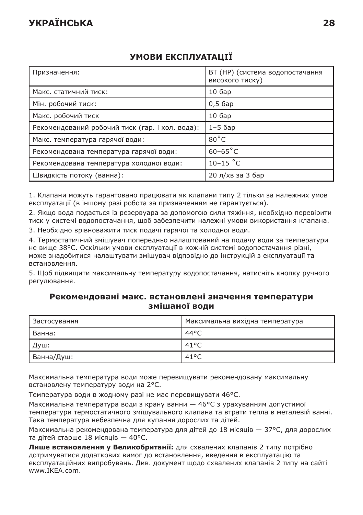# **УКРАЇНСЬКА 28**

| Призначення:                                    | ВТ (НР) (система водопостачання<br>високого тиску) |
|-------------------------------------------------|----------------------------------------------------|
| Макс. статичний тиск:                           | 106ap                                              |
| Мін. робочий тиск:                              | $0.56$ ap                                          |
| Макс. робочий тиск                              | 106ap                                              |
| Рекомендований робочий тиск (гар. і хол. вода): | $1-5$ $6ap$                                        |
| Макс. температура гарячої води:                 | $80^{\circ}$ C                                     |
| Рекомендована температура гарячої води:         | $60-65^{\circ}$ C                                  |
| Рекомендована температура холодної води:        | $10-15$ °C                                         |
| Швидкість потоку (ванна):                       | 20 л/хв за 3 бар                                   |

# **УМОВИ ЕКСПЛУАТАЦІЇ**

1. Клапани можуть гарантовано працювати як клапани типу 2 тільки за належних умов експлуатації (в іншому разі робота за призначенням не гарантується).

2. Якщо вода подається із резервуара за допомогою сили тяжіння, необхідно перевірити тиск у системі водопостачання, щоб забезпечити належні умови використання клапана.

3. Необхідно врівноважити тиск подачі гарячої та холодної води.

4. Термостатичний змішувач попередньо налаштований на подачу води за температури не вище 38°C. Оскільки умови експлуатації в кожній системі водопостачання різні, може знадобитися налаштувати змішувач відповідно до інструкцій з експлуатації та встановлення.

5. Щоб підвищити максимальну температуру водопостачання, натисніть кнопку ручного регулювання.

#### **Рекомендовані макс. встановлені значення температури змішаної води**

| Застосування | Максимальна вихідна температура |
|--------------|---------------------------------|
| I Ванна:     | 44°C                            |
| Душ:         | $41^{\circ}$ C                  |
| Ванна/Душ:   | $41^{\circ}$ C                  |

Максимальна температура води може перевищувати рекомендовану максимальну встановлену температуру води на 2°C.

Температура води в жодному разі не має перевищувати 46°C.

Максимальна температура води з крану ванни — 46°C з урахуванням допустимої температури термостатичного змішувального клапана та втрати тепла в металевій ванні. Така температура небезпечна для купання дорослих та дітей.

Максимальна рекомендована температура для дітей до 18 місяців — 37°C, для дорослих та дітей старше 18 місяців — 40°C.

**Лише встановлення у Великобританії:** для схвалених клапанів 2 типу потрібно дотримуватися додаткових вимог до встановлення, введення в експлуатацію та експлуатаційних випробувань. Див. документ щодо схвалених клапанів 2 типу на сайті www.IKEA.com.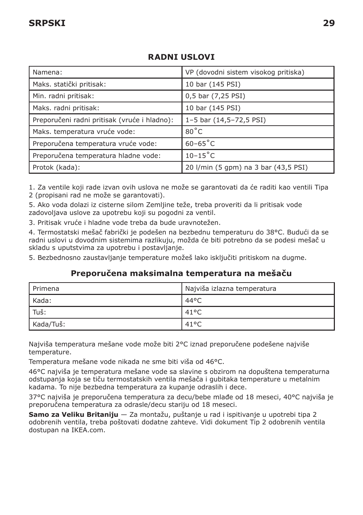| Namena:                                      | VP (dovodni sistem visokog pritiska) |
|----------------------------------------------|--------------------------------------|
| Maks. statički pritisak:                     | 10 bar (145 PSI)                     |
| Min. radni pritisak:                         | 0,5 bar (7,25 PSI)                   |
| Maks. radni pritisak:                        | 10 bar (145 PSI)                     |
| Preporučeni radni pritisak (vruće i hladno): | 1-5 bar (14,5-72,5 PSI)              |
| Maks. temperatura vruće vode:                | $80^{\circ}$ C                       |
| Preporučena temperatura vruće vode:          | $60 - 65^{\circ}$ C                  |
| Preporučena temperatura hladne vode:         | $10-15^{\circ}$ C                    |
| Protok (kada):                               | 20 l/min (5 gpm) na 3 bar (43,5 PSI) |

## **RADNI USLOVI**

1. Za ventile koji rade izvan ovih uslova ne može se garantovati da će raditi kao ventili Tipa 2 (propisani rad ne može se garantovati).

5. Ako voda dolazi iz cisterne silom Zemljine teže, treba proveriti da li pritisak vode zadovoljava uslove za upotrebu koji su pogodni za ventil.

3. Pritisak vruće i hladne vode treba da bude uravnotežen.

4. Termostatski mešač fabrički je podešen na bezbednu temperaturu do 38°C. Budući da se radni uslovi u dovodnim sistemima razlikuju, možda će biti potrebno da se podesi mešač u skladu s uputstvima za upotrebu i postavljanje.

5. Bezbednosno zaustavljanje temperature možeš lako isključiti pritiskom na dugme.

#### **Preporučena maksimalna temperatura na mešaču**

| l Primena | Najviša izlazna temperatura |
|-----------|-----------------------------|
| l Kada:   | 44°C                        |
| $ $ Tuš:  | $41^{\circ}$ C              |
| Kada/Tuš: | $41^{\circ}$ C              |

Najviša temperatura mešane vode može biti 2°C iznad preporučene podešene najviše temperature.

Temperatura mešane vode nikada ne sme biti viša od 46°C.

46°C najviša je temperatura mešane vode sa slavine s obzirom na dopuštena temperaturna odstupanja koja se tiču termostatskih ventila mešača i gubitaka temperature u metalnim kadama. To nije bezbedna temperatura za kupanje odraslih i dece.

37°C najviša je preporučena temperatura za decu/bebe mlađe od 18 meseci, 40°C najviša je preporučena temperatura za odrasle/decu stariju od 18 meseci.

**Samo za Veliku Britaniju** — Za montažu, puštanje u rad i ispitivanje u upotrebi tipa 2 odobrenih ventila, treba poštovati dodatne zahteve. Vidi dokument Tip 2 odobrenih ventila dostupan na IKEA.com.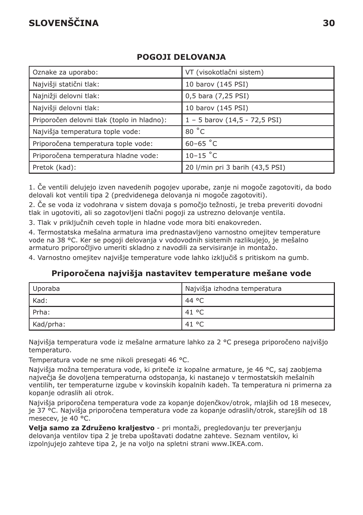# **SLOVENŠČINA 30**

| Oznake za uporabo:                         | VT (visokotlačni sistem)            |
|--------------------------------------------|-------------------------------------|
| Najvišji statični tlak:                    | 10 barov (145 PSI)                  |
| Najnižji delovni tlak:                     | 0,5 bara (7,25 PSI)                 |
| Najvišji delovni tlak:                     | 10 barov (145 PSI)                  |
| Priporočen delovni tlak (toplo in hladno): | $1 - 5$ barov $(14, 5 - 72, 5$ PSI) |
| Najvišja temperatura tople vode:           | 80 °C                               |
| Priporočena temperatura tople vode:        | $60-65$ °C                          |
| Priporočena temperatura hladne vode:       | $10-15$ °C                          |
| Pretok (kad):                              | 20 I/min pri 3 barih (43,5 PSI)     |

## **POGOJI DELOVANJA**

1. Če ventili delujejo izven navedenih pogojev uporabe, zanje ni mogoče zagotoviti, da bodo delovali kot ventili tipa 2 (predvidenega delovanja ni mogoče zagotoviti).

2. Če se voda iz vodohrana v sistem dovaja s pomočjo težnosti, je treba preveriti dovodni tlak in ugotoviti, ali so zagotovljeni tlačni pogoji za ustrezno delovanje ventila.

3. Tlak v priključnih ceveh tople in hladne vode mora biti enakovreden.

4. Termostatska mešalna armatura ima prednastavljeno varnostno omejitev temperature vode na 38 °C. Ker se pogoji delovanja v vodovodnih sistemih razlikujejo, je mešalno armaturo priporočljivo umeriti skladno z navodili za servisiranje in montažo.

4. Varnostno omejitev najvišje temperature vode lahko izključiš s pritiskom na gumb.

#### **Priporočena najvišja nastavitev temperature mešane vode**

| Uporaba   | Najvišja izhodna temperatura |
|-----------|------------------------------|
| Kad:      | 44 °C                        |
| l Prha:   | 41 °C                        |
| Kad/prha: | 41 °C                        |

Najvišja temperatura vode iz mešalne armature lahko za 2 °C presega priporočeno najvišjo temperaturo.

Temperatura vode ne sme nikoli presegati 46 °C.

Najvišja možna temperatura vode, ki priteče iz kopalne armature, je 46 °C, saj zaobjema največja še dovoljena temperaturna odstopanja, ki nastanejo v termostatskih mešalnih ventilih, ter temperaturne izgube v kovinskih kopalnih kadeh. Ta temperatura ni primerna za kopanje odraslih ali otrok.

Najvišja priporočena temperatura vode za kopanje dojenčkov/otrok, mlajših od 18 mesecev, je 37 °C. Najvišja priporočena temperatura vode za kopanje odraslih/otrok, starejših od 18 mesecev, je 40 °C.

**Velja samo za Združeno kraljestvo** - pri montaži, pregledovanju ter preverjanju delovanja ventilov tipa 2 je treba upoštavati dodatne zahteve. Seznam ventilov, ki izpolnjujejo zahteve tipa 2, je na voljo na spletni strani www.IKEA.com.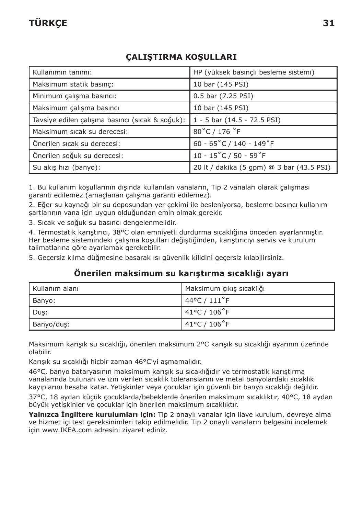# **TÜRKÇE 31**

## **ÇALIŞTIRMA KOŞULLARI**

| Kullanımın tanımı:                              | HP (yüksek basınçlı besleme sistemi)         |  |
|-------------------------------------------------|----------------------------------------------|--|
| Maksimum statik basınc:                         | 10 bar (145 PSI)                             |  |
| Minimum çalışma basıncı:                        | 0.5 bar (7.25 PSI)                           |  |
| Maksimum çalışma basıncı                        | 10 bar (145 PSI)                             |  |
| Tavsiye edilen çalışma basıncı (sıcak & soğuk): | 1 - 5 bar (14.5 - 72.5 PSI)                  |  |
| Maksimum sıcak su derecesi:                     | 80°C / 176 °F                                |  |
| Önerilen sıcak su derecesi:                     | 60 - $65^{\circ}$ C / 140 - 149 $^{\circ}$ F |  |
| Önerilen soğuk su derecesi:                     | $10 - 15^{\circ}$ C / 50 - 59 $^{\circ}$ F   |  |
| Su akış hızı (banyo):                           | 20 lt / dakika (5 gpm) @ 3 bar (43.5 PSI)    |  |

1. Bu kullanım koşullarının dışında kullanılan vanaların, Tip 2 vanaları olarak çalışması garanti edilemez (amaçlanan çalışma garanti edilemez).

2. Eğer su kaynağı bir su deposundan yer çekimi ile besleniyorsa, besleme basıncı kullanım şartlarının vana için uygun olduğundan emin olmak gerekir.

3. Sıcak ve soğuk su basıncı dengelenmelidir.

4. Termostatik karıştırıcı, 38°C olan emniyetli durdurma sıcaklığına önceden ayarlanmıştır. Her besleme sistemindeki çalışma koşulları değiştiğinden, karıştırıcıyı servis ve kurulum talimatlarına göre ayarlamak gerekebilir.

5. Geçersiz kılma düğmesine basarak ısı güvenlik kilidini geçersiz kılabilirsiniz.

#### **Önerilen maksimum su karıştırma sıcaklığı ayarı**

| I Kullanım alanı | Maksimum çıkış sıcaklığı          |
|------------------|-----------------------------------|
| Banyo:           | $44^{\circ}$ C / $111^{\circ}$ F  |
| Duş:             | $141^{\circ}$ C / $106^{\circ}$ F |
| Banyo/dus:       | 41°C / 106°F                      |

Maksimum karışık su sıcaklığı, önerilen maksimum 2°C karışık su sıcaklığı ayarının üzerinde olabilir.

Karışık su sıcaklığı hiçbir zaman 46°C'yi aşmamalıdır.

46°C, banyo bataryasının maksimum karışık su sıcaklığıdır ve termostatik karıştırma vanalarında bulunan ve izin verilen sıcaklık toleranslarını ve metal banyolardaki sıcaklık kayıplarını hesaba katar. Yetişkinler veya çocuklar için güvenli bir banyo sıcaklığı değildir.

37°C, 18 aydan küçük çocuklarda/bebeklerde önerilen maksimum sıcaklıktır, 40°C, 18 aydan büyük yetişkinler ve çocuklar için önerilen maksimum sıcaklıktır.

**Yalnızca İngiltere kurulumları için:** Tip 2 onaylı vanalar için ilave kurulum, devreye alma ve hizmet içi test gereksinimleri takip edilmelidir. Tip 2 onaylı vanaların belgesini incelemek için www.IKEA.com adresini ziyaret ediniz.